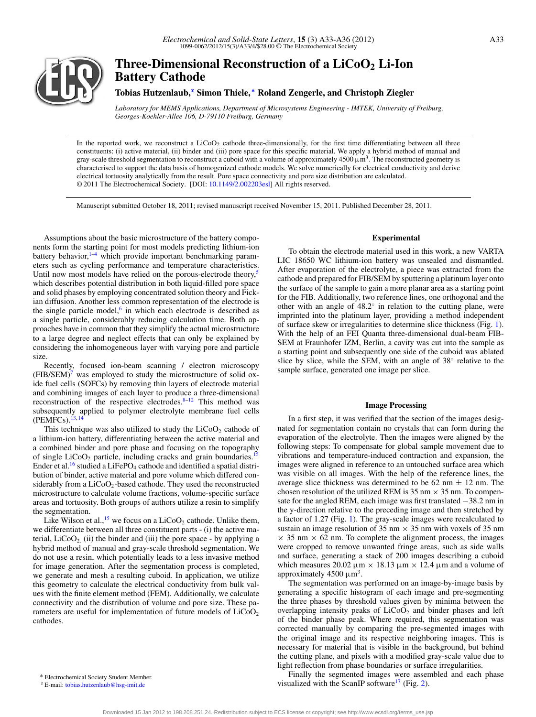

# **Three-Dimensional Reconstruction of a LiCoO2 Li-Ion Battery Cathode**

**Tobias Hutzenlaub,[z](#page-0-0) Simon Thiele, [∗](#page-0-1) Roland Zengerle, and Christoph Ziegler**

*Laboratory for MEMS Applications, Department of Microsystems Engineering - IMTEK, University of Freiburg, Georges-Koehler-Allee 106, D-79110 Freiburg, Germany*

In the reported work, we reconstruct a LiCoO<sub>2</sub> cathode three-dimensionally, for the first time differentiating between all three constituents: (i) active material, (ii) binder and (iii) pore space for this specific material. We apply a hybrid method of manual and gray-scale threshold segmentation to reconstruct a cuboid with a volume of approximately  $4500 \mu m^3$ . The reconstructed geometry is characterised to support the data basis of homogenized cathode models. We solve numerically for electrical conductivity and derive electrical tortuosity analytically from the result. Pore space connectivity and pore size distribution are calculated. © 2011 The Electrochemical Society. [DOI: [10.1149/2.002203esl\]](http://dx.doi.org/10.1149/2.002203esl) All rights reserved.

Manuscript submitted October 18, 2011; revised manuscript received November 15, 2011. Published December 28, 2011.

Assumptions about the basic microstructure of the battery components form the starting point for most models predicting lithium-ion battery behavior, $1-4$  which provide important benchmarking parameters such as cycling performance and temperature characteristics. Until now most models have relied on the porous-electrode theory,<sup>5</sup> which describes potential distribution in both liquid-filled pore space and solid phases by employing concentrated solution theory and Fickian diffusion. Another less common representation of the electrode is the single particle model, $6$  in which each electrode is described as a single particle, considerably reducing calculation time. Both approaches have in common that they simplify the actual microstructure to a large degree and neglect effects that can only be explained by considering the inhomogeneous layer with varying pore and particle size.

Recently, focused ion-beam scanning / electron microscopy  $(FIB/SEM)^7$  was employed to study the microstructure of solid oxide fuel cells (SOFCs) by removing thin layers of electrode material and combining images of each layer to produce a three-dimensional reconstruction of the respective electrodes[.8](#page-3-2)[–12](#page-3-3) This method was subsequently applied to polymer electrolyte membrane fuel cells  $(PEMFCs).<sup>1</sup>$ 

This technique was also utilized to study the  $LiCoO<sub>2</sub>$  cathode of a lithium-ion battery, differentiating between the active material and a combined binder and pore phase and focusing on the topography of single  $LiCoO<sub>2</sub>$  particle, including cracks and grain boundaries.<sup>15</sup> Ender et al.<sup>16</sup> studied a LiFePO<sub>4</sub> cathode and identified a spatial distribution of binder, active material and pore volume which differed considerably from a LiCoO<sub>2</sub>-based cathode. They used the reconstructed microstructure to calculate volume fractions, volume-specific surface areas and tortuosity. Both groups of authors utilize a resin to simplify the segmentation.

Like Wilson et al.,<sup>15</sup> we focus on a LiCoO<sub>2</sub> cathode. Unlike them, we differentiate between all three constituent parts - (i) the active material,  $LiCoO<sub>2</sub>$  (ii) the binder and (iii) the pore space - by applying a hybrid method of manual and gray-scale threshold segmentation. We do not use a resin, which potentially leads to a less invasive method for image generation. After the segmentation process is completed, we generate and mesh a resulting cuboid. In application, we utilize this geometry to calculate the electrical conductivity from bulk values with the finite element method (FEM). Additionally, we calculate connectivity and the distribution of volume and pore size. These parameters are useful for implementation of future models of  $LiCoO<sub>2</sub>$ cathodes.

### **Experimental**

To obtain the electrode material used in this work, a new VARTA LIC 18650 WC lithium-ion battery was unsealed and dismantled. After evaporation of the electrolyte, a piece was extracted from the cathode and prepared for FIB/SEM by sputtering a platinum layer onto the surface of the sample to gain a more planar area as a starting point for the FIB. Additionally, two reference lines, one orthogonal and the other with an angle of 48.2◦ in relation to the cutting plane, were imprinted into the platinum layer, providing a method independent of surface skew or irregularities to determine slice thickness (Fig. [1\)](#page-1-0). With the help of an FEI Quanta three-dimensional dual-beam FIB-SEM at Fraunhofer IZM, Berlin, a cavity was cut into the sample as a starting point and subsequently one side of the cuboid was ablated slice by slice, while the SEM, with an angle of 38◦ relative to the sample surface, generated one image per slice.

#### **Image Processing**

In a first step, it was verified that the section of the images designated for segmentation contain no crystals that can form during the evaporation of the electrolyte. Then the images were aligned by the following steps: To compensate for global sample movement due to vibrations and temperature-induced contraction and expansion, the images were aligned in reference to an untouched surface area which was visible on all images. With the help of the reference lines, the average slice thickness was determined to be 62 nm  $\pm$  12 nm. The chosen resolution of the utilized REM is 35 nm  $\times$  35 nm. To compensate for the angled REM, each image was first translated −38.2 nm in the y-direction relative to the preceding image and then stretched by a factor of 1.27 (Fig. [1\)](#page-1-0). The gray-scale images were recalculated to sustain an image resolution of 35 nm  $\times$  35 nm with voxels of 35 nm  $\times$  35 nm  $\times$  62 nm. To complete the alignment process, the images were cropped to remove unwanted fringe areas, such as side walls and surface, generating a stack of 200 images describing a cuboid which measures 20.02 μm  $\times$  18.13 μm  $\times$  12.4 μm and a volume of approximately 4500  $\mu$ m<sup>3</sup>.

The segmentation was performed on an image-by-image basis by generating a specific histogram of each image and pre-segmenting the three phases by threshold values given by minima between the overlapping intensity peaks of  $LiCoO<sub>2</sub>$  and binder phases and left of the binder phase peak. Where required, this segmentation was corrected manually by comparing the pre-segmented images with the original image and its respective neighboring images. This is necessary for material that is visible in the background, but behind the cutting plane, and pixels with a modified gray-scale value due to light reflection from phase boundaries or surface irregularities.

Finally the segmented images were assembled and each phase visualized with the ScanIP software<sup>17</sup> (Fig. [2\)](#page-1-1).

<span id="page-0-1"></span><sup>∗</sup> Electrochemical Society Student Member.

<span id="page-0-0"></span><sup>z</sup> E-mail: [tobias.hutzenlaub@hsg-imit.de](mailto: tobias.hutzenlaub@hsg-imit.de)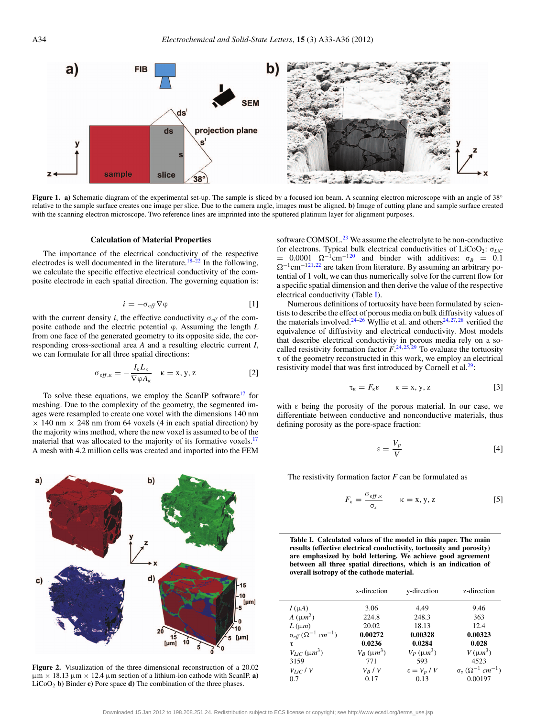<span id="page-1-0"></span>

Figure 1. a) Schematic diagram of the experimental set-up. The sample is sliced by a focused ion beam. A scanning electron microscope with an angle of 38° relative to the sample surface creates one image per slice. Due to the camera angle, images must be aligned. **b)** Image of cutting plane and sample surface created with the scanning electron microscope. Two reference lines are imprinted into the sputtered platinum layer for alignment purposes.

#### **Calculation of Material Properties**

The importance of the electrical conductivity of the respective electrodes is well documented in the literature.<sup>18[–22](#page-3-10)</sup> In the following, we calculate the specific effective electrical conductivity of the composite electrode in each spatial direction. The governing equation is:

$$
i = -\sigma_{\text{eff}} \nabla \varphi \tag{1}
$$

with the current density *i*, the effective conductivity  $\sigma_{\text{eff}}$  of the composite cathode and the electric potential ϕ. Assuming the length *L* from one face of the generated geometry to its opposite side, the corresponding cross-sectional area *A* and a resulting electric current *I*, we can formulate for all three spatial directions:

$$
\sigma_{eff,\kappa} = -\frac{I_{\kappa}L_{\kappa}}{\nabla \varphi A_{\kappa}} \quad \kappa = x, y, z \tag{2}
$$

To solve these equations, we employ the ScanIP software $17$  for meshing. Due to the complexity of the geometry, the segmented images were resampled to create one voxel with the dimensions 140 nm  $\times$  140 nm  $\times$  248 nm from 64 voxels (4 in each spatial direction) by the majority wins method, where the new voxel is assumed to be of the material that was allocated to the majority of its formative voxels.<sup>[17](#page-3-8)</sup> A mesh with 4.2 million cells was created and imported into the FEM

<span id="page-1-1"></span>

**Figure 2.** Visualization of the three-dimensional reconstruction of a 20.02  $\mu$ m  $\times$  18.13  $\mu$ m  $\times$  12.4  $\mu$ m section of a lithium-ion cathode with ScanIP. **a**) LiCoO2 **b)** Binder **c)** Pore space **d)** The combination of the three phases.

software COMSOL. $^{23}$  We assume the electrolyte to be non-conductive for electrons. Typical bulk electrical conductivities of LiCoO2: σ*LiC*  $= 0.0001 \Omega^{-1}$ cm<sup>-[120](#page-3-12)</sup> and binder with additives:  $\sigma_B = 0.1$  $\Omega^{-1}$ cm<sup>-[121,](#page-3-13)[22](#page-3-10)</sup> are taken from literature. By assuming an arbitrary potential of 1 volt, we can thus numerically solve for the current flow for a specific spatial dimension and then derive the value of the respective electrical conductivity (Table [I\)](#page-1-2).

Numerous definitions of tortuosity have been formulated by scientists to describe the effect of porous media on bulk diffusivity values of the materials involved.<sup>[24](#page-3-14)[–26](#page-3-15)</sup> Wyllie et al. and others<sup>24, [27,](#page-3-16) [28](#page-3-17)</sup> verified the equivalence of diffusivity and electrical conductivity. Most models that describe electrical conductivity in porous media rely on a socalled resistivity formation factor  $F^{(24,25,29)}$  $F^{(24,25,29)}$  $F^{(24,25,29)}$  $F^{(24,25,29)}$  $F^{(24,25,29)}$  To evaluate the tortuosity τ of the geometry reconstructed in this work, we employ an electrical resistivity model that was first introduced by Cornell et al.<sup>29</sup>:

$$
\tau_{\kappa} = F_{\kappa} \varepsilon \qquad \kappa = x, y, z \tag{3}
$$

with  $\varepsilon$  being the porosity of the porous material. In our case, we differentiate between conductive and nonconductive materials, thus defining porosity as the pore-space fraction:

$$
\varepsilon = \frac{V_p}{V} \tag{4}
$$

The resistivity formation factor *F* can be formulated as

$$
F_{\kappa} = \frac{\sigma_{\text{eff},\kappa}}{\sigma_{s}} \qquad \kappa = x, y, z \qquad [5]
$$

<span id="page-1-2"></span>**Table I. Calculated values of the model in this paper. The main results (effective electrical conductivity, tortuosity and porosity) are emphasized by bold lettering. We achieve good agreement between all three spatial directions, which is an indication of overall isotropy of the cathode material.**

|                                       | x-direction    | y-direction          | z-direction                                     |
|---------------------------------------|----------------|----------------------|-------------------------------------------------|
| $I(\mu A)$                            | 3.06           | 4.49                 | 9.46                                            |
| $A(\mu m^2)$                          | 224.8          | 248.3                | 363                                             |
| $L(\mu m)$                            | 20.02          | 18.13                | 12.4                                            |
| $\sigma_{eff}(\Omega^{-1} \ cm^{-1})$ | 0.00272        | 0.00328              | 0.00323                                         |
| τ                                     | 0.0236         | 0.0284               | 0.028                                           |
| $V_{IiC}$ ( $\mu m^3$ )               | $V_R(\mu m^3)$ | $V_P(\mu m^3)$       | $V(\mu m^3)$                                    |
| 3159                                  | 771            | 593                  | 4523                                            |
| $V_{LiC}$ / V                         | $V_R$ / $V$    | $\epsilon = V_p / V$ | $\sigma_{s}$ ( $\Omega^{-1}$ cm <sup>-1</sup> ) |
| 0.7                                   | 0.17           | 0.13                 | 0.00197                                         |
|                                       |                |                      |                                                 |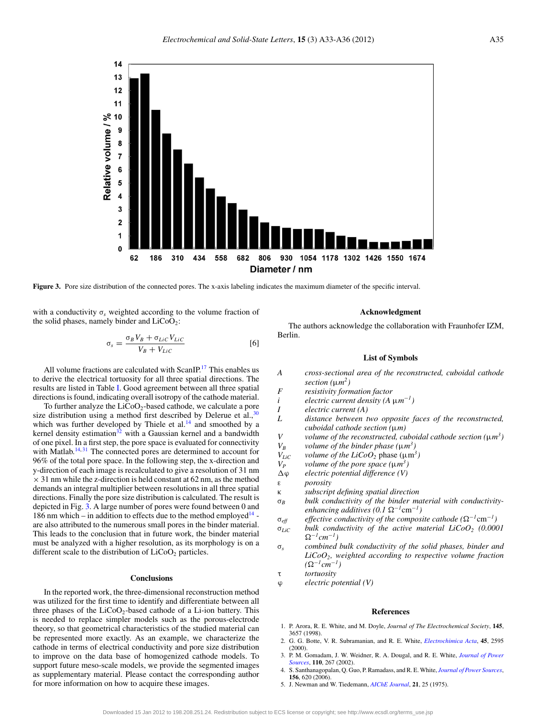<span id="page-2-3"></span>

**Figure 3.** Pore size distribution of the connected pores. The x-axis labeling indicates the maximum diameter of the specific interval.

with a conductivity  $\sigma_s$  weighted according to the volume fraction of the solid phases, namely binder and  $LiCoO<sub>2</sub>$ :

$$
\sigma_s = \frac{\sigma_B V_B + \sigma_{LiC} V_{LiC}}{V_B + V_{LiC}} \tag{6}
$$

All volume fractions are calculated with ScanIP.<sup>17</sup> This enables us to derive the electrical tortuosity for all three spatial directions. The results are listed in Table [I.](#page-1-2) Good agreement between all three spatial directions is found, indicating overall isotropy of the cathode material.

To further analyze the  $LiCoO<sub>2</sub>$ -based cathode, we calculate a pore size distribution using a method first described by Delerue et al., $30$ which was further developed by Thiele et al.<sup>14</sup> and smoothed by a kernel density estimation $32$  with a Gaussian kernel and a bandwidth of one pixel. In a first step, the pore space is evaluated for connectivity with Matlab.<sup>[14,](#page-3-5) [31](#page-3-22)</sup> The connected pores are determined to account for 96% of the total pore space. In the following step, the x-direction and y-direction of each image is recalculated to give a resolution of 31 nm  $\times$  31 nm while the z-direction is held constant at 62 nm, as the method demands an integral multiplier between resolutions in all three spatial directions. Finally the pore size distribution is calculated. The result is depicted in Fig. [3.](#page-2-3) A large number of pores were found between 0 and 186 nm which – in addition to effects due to the method employed  $14$  are also attributed to the numerous small pores in the binder material. This leads to the conclusion that in future work, the binder material must be analyzed with a higher resolution, as its morphology is on a different scale to the distribution of  $LiCoO<sub>2</sub>$  particles.

#### **Conclusions**

In the reported work, the three-dimensional reconstruction method was utilized for the first time to identify and differentiate between all three phases of the  $LiCoO<sub>2</sub>$ -based cathode of a Li-ion battery. This is needed to replace simpler models such as the porous-electrode theory, so that geometrical characteristics of the studied material can be represented more exactly. As an example, we characterize the cathode in terms of electrical conductivity and pore size distribution to improve on the data base of homogenized cathode models. To support future meso-scale models, we provide the segmented images as supplementary material. Please contact the corresponding author for more information on how to acquire these images.

## **Acknowledgment**

The authors acknowledge the collaboration with Fraunhofer IZM, Berlin.

#### **List of Symbols**

- *A cross-sectional area of the reconstructed, cuboidal cathode section (*μ*m2) F resistivity formation factor i electric current density (A* μ*m*−*1) I electric current (A) L distance between two opposite faces of the reconstructed, cuboidal cathode section (*μ*m) V volume of the reconstructed, cuboidal cathode section (*μ*m3) V<sub>B</sub> volume of the binder phase*  $(\mu m^3)$ *V*<sub>LiC</sub> *volume of the LiCoO*<sub>2</sub> phase ( $\mu$ m<sup>3</sup>)<br>*V<sub>P</sub> volume of the pore space* ( $\mu$ *m*<sup>3</sup>) *V<sub>P</sub> volume of the pore space*  $(\mu m^3)$ <br> $\Delta \varphi$  *electric potential difference*  $(V)$ ϕ *electric potential difference (V)* ε *porosity* κ *subscript defining spatial direction* σ*<sup>B</sup> bulk conductivity of the binder material with conductivity* $enhancing additives (0.1 \Omega^{-1} \text{cm}^{-1})$  $\sigma_{\text{eff}}$  *effective conductivity of the composite cathode* ( $\Omega^{-1}$ cm<sup>-1</sup>) σ*LiC bulk conductivity of the active material LiCoO2 (0.0001* -<sup>−</sup>*1cm*−*1)*
- σ*<sup>s</sup> combined bulk conductivity of the solid phases, binder and LiCoO2, weighted according to respective volume fraction*  $(\Omega^{-1}cm^{-1})$
- τ *tortuosity*

ϕ *electric potential (V)*

#### **References**

- <span id="page-2-0"></span>1. P. Arora, R. E. White, and M. Doyle, *Journal of The Electrochemical Society*, **145**, 3657 (1998).
- 2. G. G. Botte, V. R. Subramanian, and R. E. White, *[Electrochimica Acta](http://dx.doi.org/10.1016/S0013-4686(00)00340-6)*, **45**, 2595 (2000).
- 3. P. M. Gomadam, J. W. Weidner, R. A. Dougal, and R. E. White, *[Journal of Power](http://dx.doi.org/10.1016/S0378-7753(02)00190-8) [Sources](http://dx.doi.org/10.1016/S0378-7753(02)00190-8)*, **110**, 267 (2002).
- <span id="page-2-1"></span>4. S. Santhanagopalan, Q. Guo, P. Ramadass, and R. E. White, *[Journal of Power Sources](http://dx.doi.org/10.1016/j.jpowsour.2005.05.070)*, **156**, 620 (2006).
- <span id="page-2-2"></span>5. J. Newman and W. Tiedemann, *[AIChE Journal](http://dx.doi.org/10.1002/aic.690210103)*, **21**, 25 (1975).